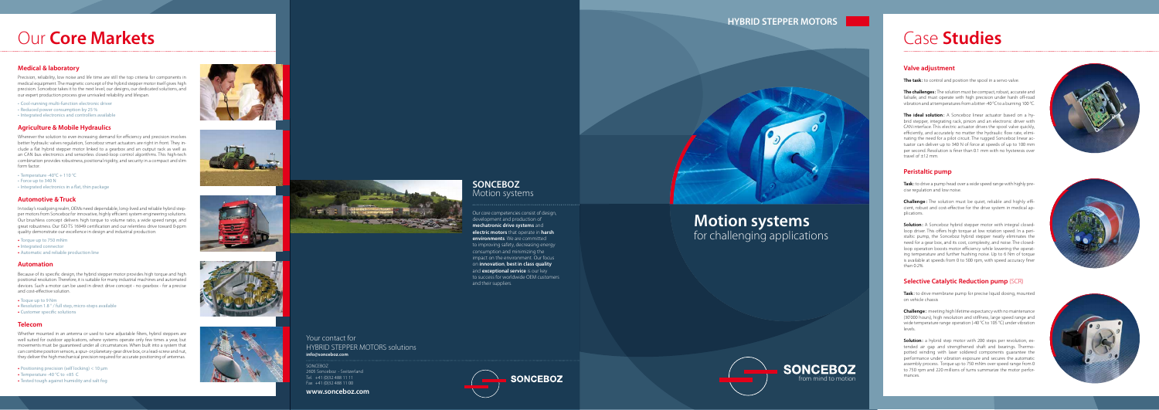#### **HYBRID STEPPER MOTORS**



#### **SONCEBOZ** Motion systems

## **Motion systems** for challenging applications



#### Your contact for HYBRID STEPPER MOTORS solutions **info@sonceboz.com**

Our core competencies consist of design, development and production of **mechatronic drive systems** and **electric motors** that operate in **harsh environments**. We are committed to improving safety, decreasing energy consumption and minimizing the impact on the environment. Our focus on **innovation**, **best in class quality**  and **exceptional service** is our key to success for worldwide OEM customers and their suppliers.

#### SONCEBOZ 2605 Sonceboz - Switzerland Tel. +41 (0)32 488 11 11 Fax +41 (0)32 488 11 00

#### **www.sonceboz.com**

#### **Valve adjustment**

**The ideal solution:** A Sonceboz linear actuator based on a hybrid stepper, integrating rack, pinion and an electronic driver with CAN interface. This electric actuator drives the spool valve quickly, efficiently, and accurately no matter the hydraulic flow rate, elimi nating the need for a pilot circuit. The rugged Sonceboz linear ac tuator can deliver up to 340 N of force at speeds of up to 100 mm per second. Resolution is finer than 0.1 mm with no hysteresis over travel of ±12 mm.

**The task :** to control and position the spool in a servo valve.



Task: to drive a pump head over a wide speed range with highly precise regulation and low noise.

**Challenge:** The solution must be quiet, reliable and highly efficient, robust and cost-effective for the drive system in medical ap plications.

**The challenges :** The solution must be compact, robust, accurate and failsafe, and must operate with high precision under harsh off-road vibration and at temperatures from a bitter -40 °C to a burning 100 °C.

**Solution:** a hybrid step motor with 200 steps per revolution, extended air gap and strengthened shaft and bearings. Thermopotted winding with laser soldered components guarantee the performance under vibration exposure and secures the automatic assembly process. Torque up to 750 mNm over speed range from 0 to 750 rpm and 220 millions of turns summarize the motor perfor mances.





#### **Peristaltic pump**

- • Cool-running multi-function electronic driver
- Reduced power consumption by 25 %
- Integrated electronics and controllers available

**Solution :** A Sonceboz hybrid stepper motor with integral closedloop driver. This offers high torque at low rotation speed. In a peristaltic pump, the Sonceboz hybrid stepper neatly eliminates the need for a gear box, and its cost, complexity, and noise. The closedloop operation boosts motor efficiency while lowering the operating temperature and further hushing noise. Up to 6 Nm of torque is available at speeds from 0 to 500 rpm, with speed accuracy finer than 0.2%.

- **•** Torque up to 750 mNm
- **•** Integrated connector
- Automatic and reliable production line

#### **Selective Catalytic Reduction pump** (SCR)

**Task :** to drive membrane pump for precise liquid dosing, mounted on vehicle chassis

**Challenge :** meeting high lifetime expectancy with no maintenance (30'000 hours), high resolution and stiffness, large speed range and wide temperature range operation (-40 °C to 105 °C) under vibration levels.

## Case **Studies**

#### **Medical & laboratory**

Precision, reliability, low noise and life time are still the top criteria for components in medical equipment. The magnetic concept of the hybrid stepper motor itself gives high precision. Sonceboz takes it to the next level; our designs, our dedicated solutions, and our expert production process give unrivaled reliability and lifespan.

#### **Agriculture & Mobile Hydraulics**

Wherever the solution to ever-increasing demand for efficiency and precision involves better hydraulic valves regulation, Sonceboz smart actuators are right in front. They in clude a flat hybrid stepper motor linked to a gearbox and an output rack as well as an CAN bus electronics and sensorless closed-loop control algorithms. This high-tech combination provides robustness, positional rigidity, and security in a compact and slim form factor.

- Temperature -40 $^{\circ}$ C + 110  $^{\circ}$ C
- Force up to 340 N
- Integrated electronics in a flat, thin package

#### **Automotive & Truck**

In today's roadgoing realm, OEMs need dependable, long-lived and reliable hybrid step per motors from Sonceboz for innovative, highly efficient system engineering solutions. Our brushless concept delivers high torque to volume ratio, a wide speed range, and great robustness. Our ISO TS 16949 certification and our relentless drive toward 0-ppm quality demonstrate our excellence in design and industrial production.

#### **Automation**

Because of its specific design, the hybrid stepper motor provides high torque and high positional resolution. Therefore, it is suitable for many industrial machines and automated devices. Such a motor can be used in direct drive concept - no gearbox - for a precise and cost-effective solution.

- **•** Toque up to 9 Nm
- Resolution 1.8 ° / full step, micro-steps available
- **•** Customer specific solutions

#### **Telecom**

Whether mounted in an antenna or used to tune adjustable filters, hybrid steppers are well suited for outdoor applications, where systems operate only few times a year, but movements must be guaranteed under all circumstances. When built into a system that can combine position sensors, a spur- or planetary-gear drive box, or a lead-screw and nut, they deliver the high mechanical precision required for accurate positioning of antennas.

- Positioning precision (self locking) < 10 µm
- Temperature -40 °C to +85 C
- Tested tough against humidity and salt fog













## Our **Core Markets**